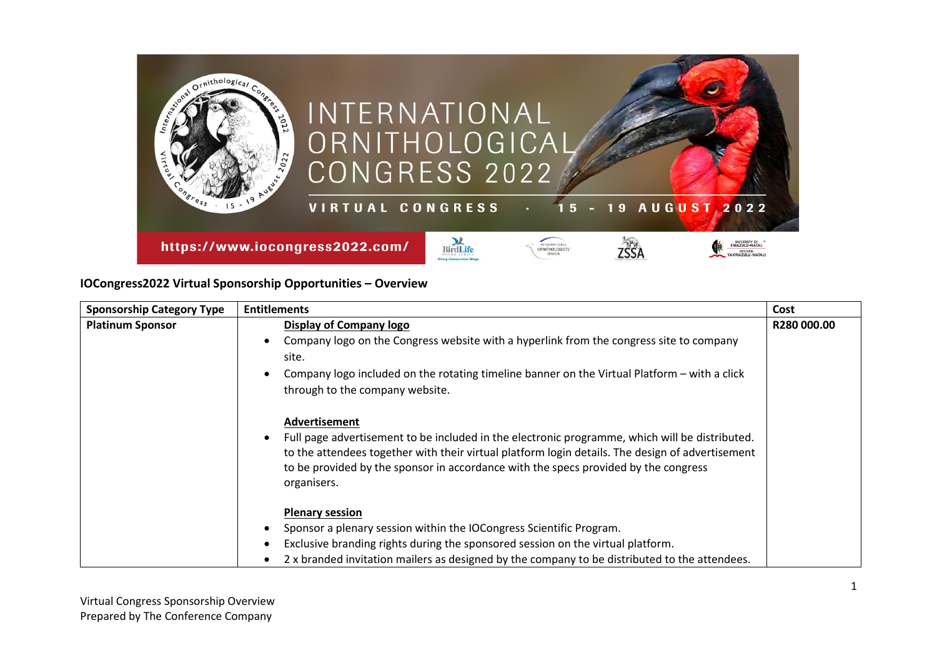

## **IOCongress2022 Virtual Sponsorship Opportunities – Overview**

| <b>Sponsorship Category Type</b> | <b>Entitlements</b>                                                                                                                                                                     | Cost        |
|----------------------------------|-----------------------------------------------------------------------------------------------------------------------------------------------------------------------------------------|-------------|
| <b>Platinum Sponsor</b>          | Display of Company logo                                                                                                                                                                 | R280 000.00 |
|                                  | Company logo on the Congress website with a hyperlink from the congress site to company                                                                                                 |             |
|                                  | site.                                                                                                                                                                                   |             |
|                                  | Company logo included on the rotating timeline banner on the Virtual Platform – with a click                                                                                            |             |
|                                  | through to the company website.                                                                                                                                                         |             |
|                                  | Advertisement<br>Full page advertisement to be included in the electronic programme, which will be distributed.                                                                         |             |
|                                  | to the attendees together with their virtual platform login details. The design of advertisement<br>to be provided by the sponsor in accordance with the specs provided by the congress |             |
|                                  | organisers.                                                                                                                                                                             |             |
|                                  | <b>Plenary session</b>                                                                                                                                                                  |             |
|                                  | Sponsor a plenary session within the IOCongress Scientific Program.                                                                                                                     |             |
|                                  | Exclusive branding rights during the sponsored session on the virtual platform.                                                                                                         |             |
|                                  | 2 x branded invitation mailers as designed by the company to be distributed to the attendees.                                                                                           |             |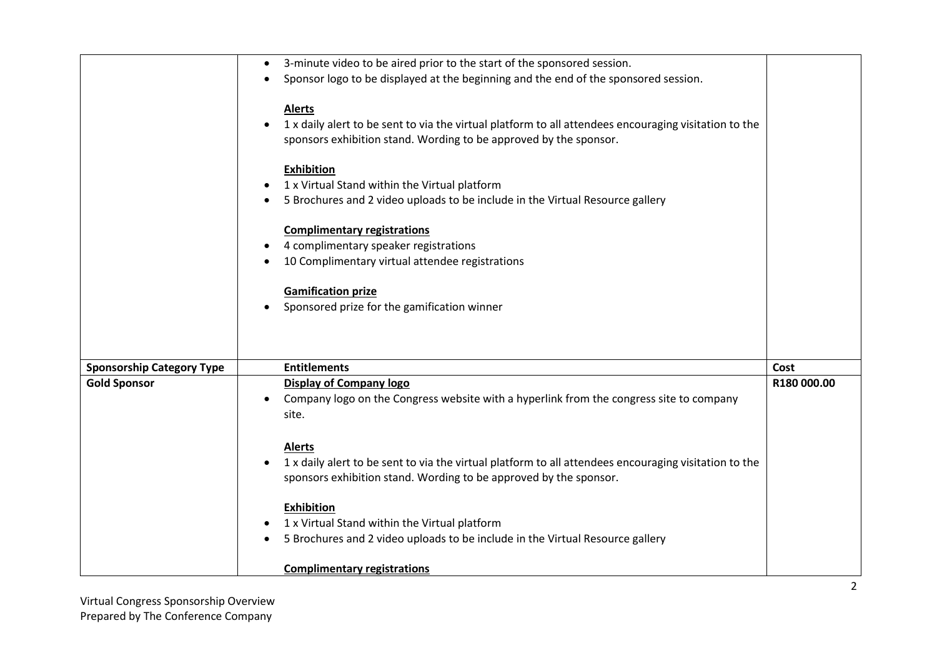|                                  | 3-minute video to be aired prior to the start of the sponsored session.<br>$\bullet$                  |             |
|----------------------------------|-------------------------------------------------------------------------------------------------------|-------------|
|                                  | Sponsor logo to be displayed at the beginning and the end of the sponsored session.                   |             |
|                                  |                                                                                                       |             |
|                                  | <b>Alerts</b>                                                                                         |             |
|                                  | 1 x daily alert to be sent to via the virtual platform to all attendees encouraging visitation to the |             |
|                                  | sponsors exhibition stand. Wording to be approved by the sponsor.                                     |             |
|                                  |                                                                                                       |             |
|                                  | <b>Exhibition</b>                                                                                     |             |
|                                  | 1 x Virtual Stand within the Virtual platform                                                         |             |
|                                  | 5 Brochures and 2 video uploads to be include in the Virtual Resource gallery                         |             |
|                                  | <b>Complimentary registrations</b>                                                                    |             |
|                                  | 4 complimentary speaker registrations                                                                 |             |
|                                  | 10 Complimentary virtual attendee registrations                                                       |             |
|                                  |                                                                                                       |             |
|                                  | <b>Gamification prize</b>                                                                             |             |
|                                  | Sponsored prize for the gamification winner                                                           |             |
|                                  |                                                                                                       |             |
|                                  |                                                                                                       |             |
|                                  |                                                                                                       |             |
| <b>Sponsorship Category Type</b> | <b>Entitlements</b>                                                                                   | Cost        |
| <b>Gold Sponsor</b>              | <b>Display of Company logo</b>                                                                        | R180 000.00 |
|                                  | Company logo on the Congress website with a hyperlink from the congress site to company               |             |
|                                  | site.                                                                                                 |             |
|                                  |                                                                                                       |             |
|                                  | <b>Alerts</b>                                                                                         |             |
|                                  | 1 x daily alert to be sent to via the virtual platform to all attendees encouraging visitation to the |             |
|                                  | sponsors exhibition stand. Wording to be approved by the sponsor.                                     |             |
|                                  | <b>Exhibition</b>                                                                                     |             |
|                                  | 1 x Virtual Stand within the Virtual platform                                                         |             |
|                                  | 5 Brochures and 2 video uploads to be include in the Virtual Resource gallery                         |             |
|                                  |                                                                                                       |             |
|                                  | <b>Complimentary registrations</b>                                                                    |             |